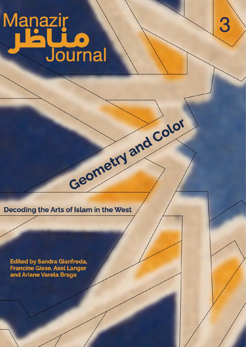# Manazir<br>Listi **Lion**<br>Journal

3

Decoding the Arts of Islam in the West

Geometry and Color

Edited by Sandra Gianfreda, **Francine Giese, Axel Langer** and Ariane Varela Braga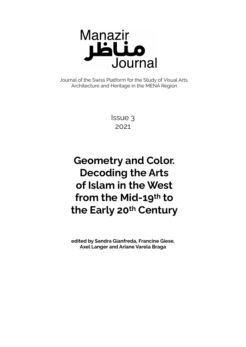

Journal of the Swiss Platform for the Study of Visual Arts, Architecture and Heritage in the MENA Region

> Issue 3 2021

# **Geometry and Color. Decoding the Arts of Islam in the West from the Mid-19th to the Early 20th Century**

**edited by Sandra Gianfreda, Francine Giese, Axel Langer and Ariane Varela Braga**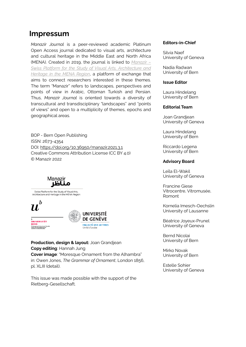# **Impressum**

*Manazir Journal* is a peer-reviewed academic Platinum Open Access journal dedicated to visual arts, architecture and cultural heritage in the Middle East and North Africa (MENA). Created in 2019, the journal is linked to *[Manazir –](http://www.manazir.art) [Swiss Platform for the Study of Visual Arts, Architecture and](http://www.manazir.art) [Heritage in the MENA](http://www.manazir.art) Region*, a platform of exchange that aims to connect researchers interested in these themes. The term "Manazir" refers to landscapes, perspectives and points of view in Arabic, Ottoman Turkish and Persian. Thus, *Manazir Journal* is oriented towards a diversity of transcultural and transdisciplinary "landscapes" and "points of views" and open to a multiplicity of themes, epochs and geographical areas.

BOP - Bern Open Publishing ISSN: 2673-4354 DOI: [https://doi.org/10.36950/manazir.2021.3.1](https://doi.org/10.36950/manazir.2021.3.2) Creative Commons Attribution License (CC BY 4.0) © Manazir 2022



Swiss Platform for the Study of Visual Arts, Architecture and Heritage in the MENA Region



**Production, design & layout:** Joan Grandjean **Copy editing**: Hannah Jung **Cover image**: "Moresque Ornament from the Alhambra" in: Owen Jones, *The Grammar of Ornament*, London 1856, pl. XLIII (detail).

This issue was made possible with the support of the Rietberg-Gesellschaft.

#### **Editors-in-Chief**

Silvia Naef University of Geneva

Nadia Radwan University of Bern

#### **Issue Editor**

Laura Hindelang University of Bern

#### **Editorial Team**

Joan Grandjean University of Geneva

Laura Hindelang University of Bern

Riccardo Legena University of Bern

#### **Advisory Board**

Leïla El-Wakil University of Geneva

Francine Giese Vitrocentre, Vitromusée, Romont

Kornelia Imesch-Oechslin University of Lausanne

Béatrice Joyeux-Prunel University of Geneva

Bernd Nicolai University of Bern

Mirko Novak University of Bern

Estelle Sohier University of Geneva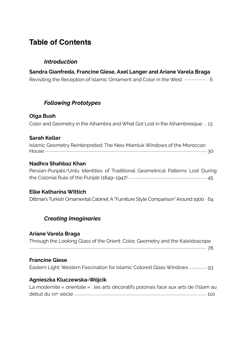# **Table of Contents**

# *Introduction*

**Sandra Gianfreda, Francine Giese, Axel Langer and Ariane Varela Braga** Revisiting the Reception of Islamic Ornament and Color in the West ————— 6

# *Following Prototypes*

# **Olga Bush**

Color and Geometry in the Alhambra and What Got Lost in the Alhambresque  $-13$ 

# **Sarah Keller**

Islamic Geometry Reinterpreted: The Neo-Mamluk Windows of the Moroccan House 30

# **Nadhra Shahbaz Khan**

Persian-Punjabi/Urdu Identities of Traditional Geometrical Patterns Lost During the Colonial Rule of the Punjab (1849-1947) **45** and the Colonial Rule of the Punjab (1849-1947)

# **Elke Katharina Wittich**

Dittmar's Turkish Ornamental Cabinet: A "Furniture Style Comparison" Around 1900 64

# *Creating Imaginaries*

# **Ariane Varela Braga**

Through the Looking Glass of the Orient: Color, Geometry and the Kaleidoscope

78

#### **Francine Giese**

Eastern Light: Western Fascination for Islamic Colored Glass Windows <u>193</u>

# **Agnieszka Kluczewska-Wójcik**

La modernité « orientale » : les arts décoratifs polonais face aux arts de l'Islam au début du XXe siècle 110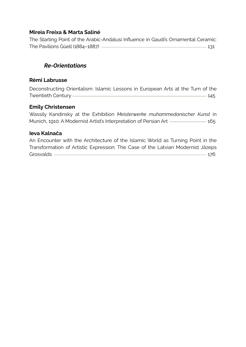# **Mireia Freixa & Marta Saliné**

The Starting Point of the Arabic-Andalusi Influence in Gaudi's Ornamental Ceramic: The Pavilions Güell (1884–1887) 2008 120 131

# *Re-Orientations*

#### **Rémi Labrusse**

Deconstructing Orientalism: Islamic Lessons in European Arts at the Turn of the Twentieth Century 2008 and 2008 and 2008 and 2008 and 2008 and 2008 and 2008 and 2008 and 2008 and 2008 and 20

# **Emily Christensen**

Wassily Kandinsky at the Exhibition *Meisterwerke muhammedanischer Kunst* in Munich, 1910: A Modernist Artist's Interpretation of Persian Art 165

# **Ieva Kalnača**

An Encounter with the Architecture of the Islamic World as Turning Point in the Transformation of Artistic Expression: The Case of the Latvian Modernist Jāzeps Grosvalds and the contract of the contract of the contract of the contract of the contract of the contract of the contract of the contract of the contract of the contract of the contract of the contract of the contract of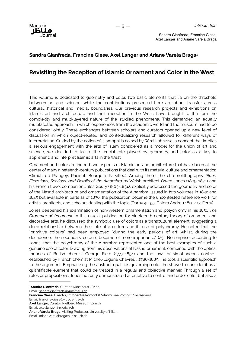

#### **Sandra Gianfreda, Francine Giese, Axel Langer and Ariane Varela Braga1**

#### **Revisiting the Reception of Islamic Ornament and Color in the West**

This volume is dedicated to geometry and color, two basic elements that lie on the threshold between art and science, while the contributions presented here are about transfer across cultural, historical and medial boundaries. Our previous research projects and exhibitions on Islamic art and architecture and their reception in the West, have brought to the fore the complexity and multi-layered nature of the studied phenomena. This demanded an equally multifaceted approach, in which experiences from the academic world and the museum had to be considered jointly. These exchanges between scholars and curators opened up a new level of discussion in which object-related and contextualizing research allowed for different ways of interpretation. Guided by the notion of Islamophilia coined by Rémi Labrusse, a concept that implies a serious engagement with the arts of Islam considered as a model for the union of art and science, we decided to tackle the crucial role played by geometry and color as a key to apprehend and interpret Islamic arts in the West.

Ornament and color are indeed two aspects of Islamic art and architecture that have been at the center of many nineteenth-century publications that deal with its material culture and ornamentation (Girault de Prangey; Racinet; Bourgoin; Parvillée). Among them, the chromolithography *Plans, Elevations, Sections, and Details of the Alhambra* by Welsh architect Owen Jones (1809-1874) and his French travel companion Jules Goury (1803-1834), explicitly addressed the geometry and color of the Nasrid architecture and ornamentation of the Alhambra. Issued in two volumes in 1842 and 1845 but available in parts as of 1836, the publication became the uncontested reference work for artists, architects, and scholars dealing with the topic (Darby 42-55; Galera Andreu 180-207; Ferry).

Jones deepened his examination of non-Western ornamentation and polychromy in his 1856 *The Grammar of Ornament*. In this crucial publication for nineteenth-century theory of ornament and decorative arts, he discussed the symbolic use of colors as a transcultural element, suggesting a deep relationship between the state of a culture and its use of polychromy. He noted that the "primitive colours" had been employed "during the early periods of art; whilst, during the decadence, the secondary colours became of more importance" (25). No surprise, according to Jones, that the polychromy of the Alhambra represented one of the best examples of such a genuine use of color. Drawing from his observations of Nasrid ornament, combined with the optical theories of British chemist George Field (1777-1854) and the laws of simultaneous contrast established by French chemist Michel-Eugène Chevreul (1786-1889), he took a scientific approach to the argument. Emphasizing the abstract qualities governing color, he strove to consider it as a quantifiable element that could be treated in a regular and objective manner. Through a set of rules or propositions, Jones not only demonstrated a tentative to control and order color but also a

Email: axel.langer@zuerich.ch

**Sandra Gianfreda**, Curator, Kunsthaus Zürich. <sup>1</sup>

Email: sandra.gianfreda@kunsthaus.ch

**Francine Giese**, Director, Vitrocentre Romont & Vitromusée Romont, Switzerland.

Email: francine.giese@vitrocentre.ch

**Axel Langer**, Curator, Rietberg Museum, Zürich.

**Ariane Varela Braga**, Visiting Professor, University of Milan.

Email: ariane.varelabraga@khist.uzh.ch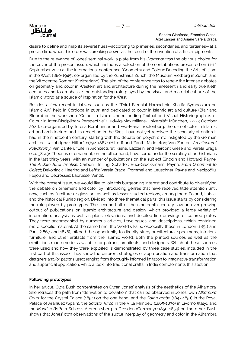

desire to define and map its several hues—according to primaries, secondaries, and tertiaries—at a precise time when this order was breaking down, as the result of the invention of artificial pigments.

Due to the relevance of Jones' seminal work, a plate from his *Grammar* was the obvious choice for the cover of the present issue, which includes a selection of the contributions presented on 11-12 September 2020 at the international conference "Geometry and Colour: Decoding the Arts of Islam in the West 1880-1945", co-organized by the Kunsthaus Zürich, the Museum Rietberg in Zürich, and the Vitrocentre Romont (Switzerland). The aim of the conference was to renew the intense debates on geometry and color in Western art and architecture during the nineteenth and early twentieth centuries and to emphasize the outstanding role played by the visual and material culture of the Islamic world as a source of inspiration for the West.

Besides a few recent initiatives, such as the "Third Biennial Hamad bin Khalifa Symposium on Islamic Art", held in Córdoba in 2009 and dedicated to color in Islamic art and culture (Blair and Bloom) or the workshop "Colour in Islam: Understanding Textual and Visual Historiographies of Colour in Inter-Disciplinary Perspective" (Ludwig-Maximilians-Universität München, 22-23 October 2021), co-organized by Teresa Bernheimer and Eva-Maria Troelenberg, the use of color in Islamic art and architecture and its reception in the West have not yet received the scholarly attention it had in the nineteenth century, starting with the debate on polychromy, instigated by the German architect Jakob Ignaz Hittorff (1792-1867) (Hittorff and Zanth; Middleton; Van Zanten, *Architectural Polychromy*; Van Zanten, "Life in Architecture"; Kiene, Lazzarini and Marconi; Giese and Varela Braga esp. 38-43). Theories of ornament, on the other hand, have come under the scrutiny of art historians in the last thirty years, with an number of publications on the subject (Snodin and Howard; Payne, *The Architectural Treatise*; Carboni; Trilling; Schafter; Buci-Glucksmann; Payne, *From Ornament to Object*; Dekoninck, Heering and Lefftz; Varela Braga; Frommel and Leuschner; Payne and Necipoğlu; Fléjou and Decrossas; Labrusse; Vandi).

With the present issue, we would like to join this burgeoning interest and contribute to diversifying the debate on ornament and color by introducing genres that have received little attention until now, such as furniture or glass art, as well as lesser-studied regions, among them Poland, Latvia, and the historical Punjab region. Divided into three thematical parts, this issue starts by considering the role played by prototypes. The second half of the nineteenth century saw an ever-growing output of publications on Islamic architecture and design, which provided a large variety of information, analysis as well as plans, elevations, and detailed line drawings or colored plates. They were accompanied by numerous articles, travelogues, and descriptions, which contained more specific material. At the same time, the World's Fairs, especially those in London (1851) and Paris (1867 and 1878), offered the opportunity to directly study architectural specimens, interiors, furniture, and other artifacts from the Islamic world. Both the printed sources as well as the exhibitions made models available for patrons, architects, and designers. Which of these sources were used and how they were exploited is demonstrated by three case studies, included in the first part of this issue. They show the different strategies of appropriation and transformation that designers and/or patrons used; ranging from thoroughly informed imitation to imaginative transformation and superficial application, while a look into traditional crafts in India complements this section.

#### **Following prototypes**

In her article, Olga Bush concentrates on Owen Jones' analysis of the aesthetics of the Alhambra. She retraces the path from "derivation to deviation" that can be observed in Jones' own *Alhambra Court* for the Crystal Palace (1854) on the one hand, and the *Salón árabe* (1847-1851) in the Royal Palace of Aranjuez (Spain), the *Salotto Turco* in the Villa Mimbelli (1865-1870) in Livorno (Italy), and the *Moorish Bath* in Schloss Albrechtsberg in Dresden (Germany) (1850-1854) on the other. Bush shows that Jones' own observations of the subtle interplay of geometry and color in the Alhambra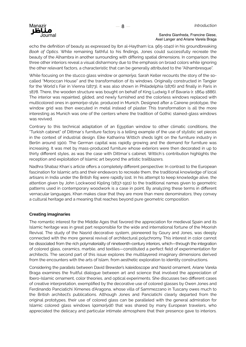

echo the definition of beauty as expressed by Ibn al-Haytham (ca. 965-1040) in his groundbreaking *Book of Optics*. While remaining faithful to his findings, Jones could successfully recreate the beauty of the Alhambra in another surrounding with differing spatial dimensions. In comparison, the three other interiors reveal a visual disharmony due to the emphasis on broad colors while ignoring the other relevant factors, a characteristic that can be generally attributed to the "Alhambresque".

While focusing on the stucco glass window or *qamarīya,* Sarah Keller recounts the story of the socalled "Moroccan House" and the transformation of its windows. Originally constructed in Tangier for the World's Fair in Vienna (1873), it was also shown in Philadelphia (1876) and finally in Paris in 1878. There, the wooden structure was bought on behalf of King Ludwig II of Bavaria (r. 1864-1886). The interior was repainted, gilded, and newly furnished and the colorless windows replaced with multicolored ones in *qamarīya-*style, produced in Munich. Designed after a Cairene prototype, the window grid was then executed in metal instead of plaster. This transformation is all the more interesting as Munich was one of the centers where the tradition of Gothic stained-glass windows was revived.

Contrary to this technical adaptation of an Egyptian window to other climatic conditions, the "Turkish cabinet" of Dittmar's furniture factory is a telling example of the use of stylistic set pieces in the context of industrial design. Elke Katharina Wittich sheds light on the furniture industry in Berlin around 1900. The German capital was rapidly growing and the demand for furniture was increasing. It was met by mass-produced furniture whose exteriors were then decorated in up to thirty different styles, as was the case with Dittmar's cabinet. Wittich's contribution highlights the reception and exploitation of Islamic art beyond the artistic trailblazers.

Nadhra Shabaz Khan's article offers a completely different perspective: In contrast to the European fascination for Islamic arts and their endeavors to recreate them, the traditional knowledge of local artisans in India under the British Raj were rapidly lost. In his attempt to keep knowledge alive, the attention given by John Lockwood Kipling (1837-1911) to the traditional names given to geometric patterns used in contemporary woodwork is a case in point. By analyzing these terms in different vernacular languages, Khan makes clear that they are more than mere denominators; they convey a cultural heritage and a meaning that reaches beyond pure geometric composition.

#### **Creating imaginaries**

The romantic interest for the Middle Ages that favored the appreciation for medieval Spain and its Islamic heritage was in great part responsible for the wide and international fortune of the Moorish Revival. The study of the Nasrid decorative system, pioneered by Goury and Jones, was deeply connected with the more general revival of architectural polychromy. This interest in color cannot be dissociated from the rich polymateriality of nineteenth-century interiors, which—through the integration of colored glass, ceramics, marble, and textiles—constituted a perfect field of experimentation for architects. The second part of this issue explores the multilayered imaginary dimensions derived from the encounters with the arts of Islam, from aesthetic exploration to identity constructions.

Considering the parallels between David Brewster's kaleidoscope and Nasrid ornament, Ariane Varela Braga examines the fruitful dialogue between art and science that involved the appreciation of Ibero-Islamic ornament, color theories, and optical experiments. She discusses two different cases of creative interpretation, exemplified by the decorative use of colored glasses by Owen Jones and Ferdinando Panciatichi Ximenes d'Aragona, whose villa of Sammezzano in Tuscany owes much to the British architect's publications. Although Jones and Panciatichi clearly departed from the original prototypes, their use of colored glass can be paralleled with the general admiration for Islamic colored glass windows (*qamarīyāt*) that was shared by many European travelers, who appreciated the delicacy and particular intimate atmosphere that their presence gave to interiors.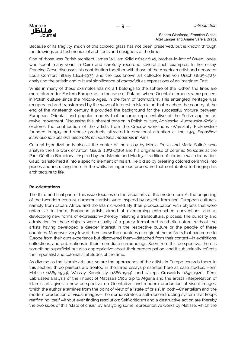

Because of its fragility, much of this colored glass has not been preserved, but is known through the drawings and testimonies of architects and designers of the time.

One of those was British architect James William Wild (1814-1892), brother-in-law of Owen Jones, who spent many years in Cairo and carefully recorded several such examples. In her essay, Francine Giese discusses his contribution together with those of the American artist and decorator Louis Comfort Tiffany (1848-1933) and the less known art collector Karl von Urach (1865-1925), analyzing the artistic and cultural significance of *qamarīyāt* as expressions of an imagined East.

While in many of these examples Islamic art belongs to the sphere of the 'Other', the lines are more blurred for Eastern Europe, as in the case of Poland, where Oriental elements were present in Polish culture since the Middle Ages, in the form of "*sarmatism*". This entangled heritage was recuperated and transformed by the wave of interest in Islamic art that reached the country at the end of the nineteenth century. It provided the background for the successful mixture between European, Oriental, and popular models that became representative of the Polish applied art revival movement. Discussing this inherent tension in Polish culture, Agnieszka Kluczewska-Wójcik explores the contribution of the artists from the Cracow workshops (Warsztaty Krakowskie) founded in 1913 and whose products attracted international attention at the 1925 *Exposition internationale des arts décoratifs et industriels modernes* in Paris.

Cultural hybridization is also at the center of the essay by Mireia Freixa and Marta Saliné, who analyze the tile work of Antoni Gaudí (1852-1926) and his original use of ceramic *trencadís* at the Park Güell in Barcelona. Inspired by the Islamic and Mudéjar tradition of ceramic wall decoration, Gaudí transformed it into a specific element of his art. He did so by breaking colored ceramics into pieces and incrusting them in the walls, an ingenious procedure that contributed to bringing his architecture to life.

#### **Re-orientations**

The third and final part of this issue focuses on the visual arts of the modern era. At the beginning of the twentieth century, numerous artists were inspired by objects from non-European cultures, namely from Japan, Africa, and the Islamic world. By their preoccupation with objects that were unfamiliar to them, European artists aimed at overcoming entrenched conventions and at developing new forms of expression—thereby initiating a transcultural process. The curiosity and admiration for these objects were usually of a purely formal and aesthetic nature, without the artists having developed a deeper interest in the respective culture or the people of these countries. Moreover, very few of them knew the countries of origin of the artifacts that had come to Europe from their own experience but discovered them—detached from their context—in exhibitions, collections, and publications in their immediate surroundings. Seen from this perspective, there is something superficial but also appropriative about their preoccupation, and it subliminally reflects the imperialist and colonialist attitudes of the time.

As diverse as the Islamic arts are, so are the approaches of the artists in Europe towards them. In this section, three painters are treated in the three essays presented here as case studies: Henri Matisse (1869-1954), Wassily Kandinsky (1866-1944), and Jāzeps Grosvalds (1891-1920). Rémi Labrusse's analysis of the impact of Matisse's 1906 trip to Algeria and the artist's interpretation of Islamic arts gives a new perspective on Orientalism and modern production of visual images, which the author examines from the point of view of a "state of crisis". In both—Orientalism and the modern production of visual images—, he demonstrates a self-deconstructing system that keeps reaffirming itself without ever finding resolution: Self-criticism and a destructive action are thereby the two sides of this "state of crisis". By analyzing some representative works by Matisse, which the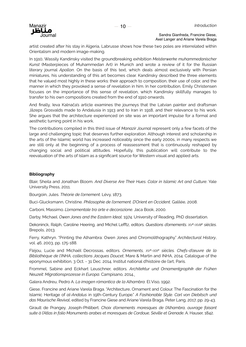

artist created after his stay in Algeria, Labrusse shows how these two poles are interrelated within Orientalism and modern image-making.

In 1910, Wassily Kandinsky visited the groundbreaking exhibition *Meisterwerke muhammedanischer Kunst* (Masterpieces of Muhammedan Art) in Munich and wrote a review of it for the Russian literary journal *Apollon*. On the basis of this text, which deals almost exclusively with Persian miniatures, his understanding of this art becomes clear. Kandinsky described the three elements that he valued most highly in these works: their approach to composition, their use of color, and the manner in which they provoked a sense of revelation in him. In her contribution, Emily Christensen focuses on the importance of this sense of revelation, which Kandinsky skillfully manages to transfer to his own compositions created from the end of 1910 onwards.

And finally, Ieva Kalnača's article examines the journeys that the Latvian painter and draftsman Jāzeps Grosvalds made to Andalusia in 1913 and to Iran in 1918, and their relevance to his work. She argues that the architecture experienced on site was an important impulse for a formal and aesthetic turning point in his work.

The contributions compiled in this third issue of *Manazir Journal* represent only a few facets of the large and challenging topic that deserves further exploration. Although interest and scholarship in the arts of the Islamic world has increased noticeably since the early 2000s, in many respects we are still only at the beginning of a process of reassessment that is continuously reshaped by changing social and political attitudes. Hopefully, this publication will contribute to the reevaluation of the arts of Islam as a significant source for Western visual and applied arts.

#### **Bibliography**

Blair, Sheila and Jonathan Bloom. *And Diverse Are Their Hues. Color in Islamic Art and Culture*. Yale University Press, 2011.

Bourgoin, Jules. *Théorie de l'ornement*. Lévy, 1873.

Buci-Glucksmann, Christine. *Philosophie de l'ornement. D'Orient en Occident*. Galilée, 2008.

Carboni, Massimo. *L'ornamentale tra arte e decorazione.* Jaca Book, 2000.

Darby, Michael. *Owen Jones and the Eastern Ideal*. 1974. University of Reading, PhD dissertation.

Dekoninck, Ralph, Caroline Heering, and Michel Lefftz, editors. *Questions d'ornements. XVe-XVIIIe siècles*. Brepols, 2013.

Ferry, Kathryn. "Printing the Alhambra: Owen Jones and Chromolithography." *Architectural History*, vol. 46, 2003, pp. 175-188.

Fléjou, Lucie and Michaël Decrossas, editors. *Ornements, XVe-XIXe siècles. Chefs-d'œuvre de la Bibliothèque de l'INHA, collections Jacques Doucet*, Mare & Martin and INHA, 2014. Catalogue of the eponymous exhibition, 3 Oct. - 31 Dec. 2014, Institut national d'histoire de l'art, Paris.

Frommel, Sabine and Eckhart Leuschner, editors. *Architektur und Ornamentgraphik der Frühen Neuzeit: Migrationsprozesse in Europa*. Campisano, 2014.

Galera Andreu, Pedro A. *La imagen rómantica de la Alhambra*. El Viso, 1992.

Giese, Francine and Ariane Varela Braga. "Architecture, Ornament and Colour. The Fascination for the Islamic Heritage of *al-Andalus* in 19th-Century Europe." *A Fashionable Style. Carl von Diebitsch und das Maurische Revival*, edited by Francine Giese and Ariane Varela Braga, Peter Lang, 2017, pp. 29-43.

Girault de Prangey, Joseph-Philibert. *Choix d'ornements moresques de l'Alhambra, ouvrage faisant suite à l'Atlas in folio Monuments arabes et moresques de Cordoue, Séville et Grenade*. A. Hauser, 1842.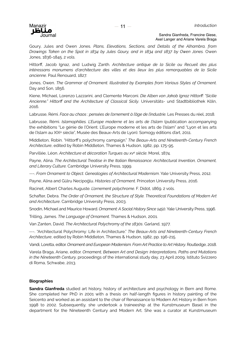

Goury, Jules and Owen Jones. *Plans, Elevations, Sections, and Details of the Alhambra, from Drawings Taken on the Spot in 1834 by Jules Goury, and in 1834 and 1837 by Owen Jones.* Owen Jones, 1836-1845. 2 vols.

Hittorff, Jacob Ignaz, and Ludwig Zanth. *Architecture antique de la Sicile ou Recueil des plus intéressans monumens d'architecture des villes et des lieux les plus remarquables de la Sicile ancienne*. Paul Renouard, 1827.

Jones, Owen. *The Grammar of Ornament. Illustrated by Examples from Various Styles of Ornament*. Day and Son, 1856.

Kiene, Michael, Lorenzo Lazzarini, and Clemente Marconi. *Die Alben von Jakob Ignaz Hittorff: "Sicilie Ancienne." Hittorff and the Architecture of Classical Sicily*. Universitäts- und Stadtbibliothek Köln, 2016.

Labrusse, Rémi. *Face au chaos : pensées de l'ornement à l'âge de l'industrie*. Les Presses du réel, 2018.

Labrusse, Rémi. *Islamophilies. L'Europe moderne et les arts de l'Islam* (publication accompanying the exhibitions "Le génie de l'Orient. L'Europe moderne et les arts de l'Islam" and "Lyon et les arts de l'Islam au XIXe siècle", Musée des Beaux-Arts de Lyon). Somogy éditions d'art, 2011.

Middleton, Robin. "Hittorff's polychromy campaign." *The Beaux-Arts and Nineteenth-Century French Architecture*, edited by Robin Middleton, Thames & Hudson, 1982, pp. 175-95.

Parvillée, Léon. *Architecture et décoration Turques au xve siècle*. Morel, 1874.

Payne, Alina. *The Architectural Treatise in the Italian Renaissance: Architectural Invention, Ornament, and Literary Culture.* Cambridge University Press, 1999.

---. *From Ornament to Object. Genealogies of Architectural Modernism*. Yale University Press, 2012.

Payne, Alina and Gülru Necipoğlu. *Histories of Ornament*. Princeton University Press, 2016.

Racinet, Albert Charles Auguste. *L'ornement polychrome*. F. Didot, 1869. 2 vols.

Schafter, Debra. *The Order of Ornament, the Structure of Style. Theoretical Foundations of Modern Art and Architecture*. Cambridge University Press, 2003.

Snodin, Michael and Maurice Howard. *Ornament: A Social History Since 1450*. Yale University Press, 1996.

Trilling, James. *The Language of Ornament*. Thames & Hudson, 2001.

Van Zanten, David. *The Architectural Polychromy of the 1830s*. Garland, 1977.

---. "Architectural Polychromy: Life in Architecture." *The Beaux-Arts and Nineteenth-Century French Architecture*, edited by Robin Middleton, Thames & Hudson, 1982, pp. 196-215.

Vandi, Loretta, editor. *Ornament and European Modernism. From Art Practice to Art History*. Routledge, 2018.

Varela Braga, Ariane, editor. *Ornament, Between Art and Design: Interpretations, Paths and Mutations in the Nineteenth Century,* proceedings of the international study day, 23 April 2009, Istituto Svizzero di Roma, Schwabe, 2013.

#### **Biographies**

**Sandra Gianfreda** studied art history, history of architecture and psychology in Bern and Rome. She completed her PhD in 2001 with a thesis on half-length figures in history painting of the Seicento and worked as an assistant to the chair of Renaissance to Modern Art History in Bern from 1998 to 2002. Subsequently, she undertook a traineeship at the Kunstmuseum Basel in the department for the Nineteenth Century and Modern Art. She was a curator at Kunstmuseum